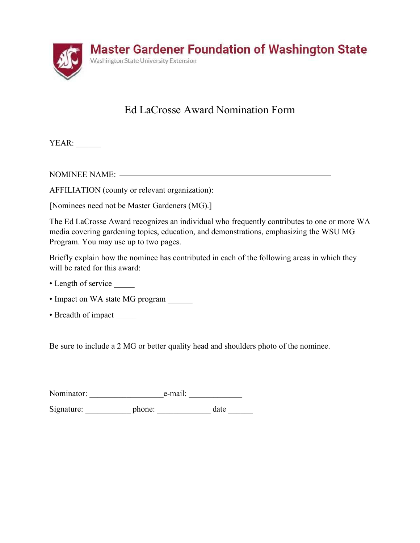

## Ed LaCrosse Award Nomination Form

YEAR: \_\_\_\_\_\_\_

NOMINEE NAME:

AFFILIATION (county or relevant organization):

[Nominees need not be Master Gardeners (MG).]

The Ed LaCrosse Award recognizes an individual who frequently contributes to one or more WA media covering gardening topics, education, and demonstrations, emphasizing the WSU MG Program. You may use up to two pages.

Briefly explain how the nominee has contributed in each of the following areas in which they will be rated for this award:

- Length of service
- Impact on WA state MG program
- Breadth of impact

Be sure to include a 2 MG or better quality head and shoulders photo of the nominee.

| Nominator: | e-mail: |  |
|------------|---------|--|
|            |         |  |

Signature: \_\_\_\_\_\_\_\_\_\_\_\_\_ phone: \_\_\_\_\_\_\_\_\_\_\_\_\_ date \_\_\_\_\_\_\_\_